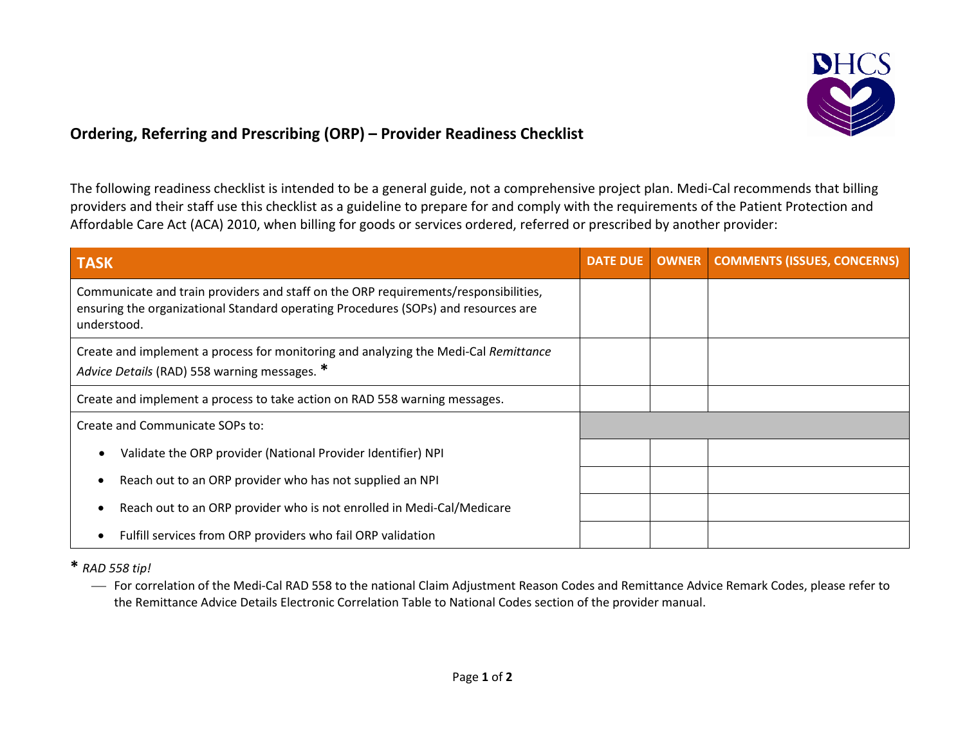

# **Ordering, Referring and Prescribing (ORP) – Provider Readiness Checklist**

The following readiness checklist is intended to be a general guide, not a comprehensive project plan. Medi-Cal recommends that billing providers and their staff use this checklist as a guideline to prepare for and comply with the requirements of the Patient Protection and Affordable Care Act (ACA) 2010, when billing for goods or services ordered, referred or prescribed by another provider:

| <b>TASK</b>                                                                                                                                                                              | <b>DATE DUE</b> | <b>OWNER</b> COMMENTS (ISSUES, CONCERNS) |
|------------------------------------------------------------------------------------------------------------------------------------------------------------------------------------------|-----------------|------------------------------------------|
| Communicate and train providers and staff on the ORP requirements/responsibilities,<br>ensuring the organizational Standard operating Procedures (SOPs) and resources are<br>understood. |                 |                                          |
| Create and implement a process for monitoring and analyzing the Medi-Cal Remittance<br>Advice Details (RAD) 558 warning messages. *                                                      |                 |                                          |
| Create and implement a process to take action on RAD 558 warning messages.                                                                                                               |                 |                                          |
| Create and Communicate SOPs to:                                                                                                                                                          |                 |                                          |
| Validate the ORP provider (National Provider Identifier) NPI                                                                                                                             |                 |                                          |
| Reach out to an ORP provider who has not supplied an NPI                                                                                                                                 |                 |                                          |
| Reach out to an ORP provider who is not enrolled in Medi-Cal/Medicare                                                                                                                    |                 |                                          |
| Fulfill services from ORP providers who fail ORP validation                                                                                                                              |                 |                                          |

**\*** *RAD 558 tip!*

 For correlation of the Medi-Cal RAD 558 to the national Claim Adjustment Reason Codes and Remittance Advice Remark Codes, please refer to the Remittance Advice Details Electronic Correlation Table to National Codes section of the provider manual.